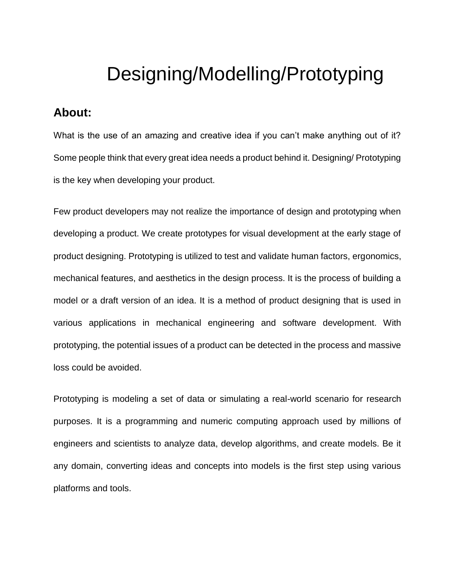# Designing/Modelling/Prototyping

## **About:**

What is the use of an amazing and creative idea if you can't make anything out of it? Some people think that every great idea needs a product behind it. Designing/ Prototyping is the key when developing your product.

Few product developers may not realize the importance of design and prototyping when developing a product. We create prototypes for visual development at the early stage of product designing. Prototyping is utilized to test and validate human factors, ergonomics, mechanical features, and aesthetics in the design process. It is the process of building a model or a draft version of an idea. It is a method of product designing that is used in various applications in mechanical engineering and software development. With prototyping, the potential issues of a product can be detected in the process and massive loss could be avoided.

Prototyping is modeling a set of data or simulating a real-world scenario for research purposes. It is a programming and numeric computing approach used by millions of engineers and scientists to analyze data, develop algorithms, and create models. Be it any domain, converting ideas and concepts into models is the first step using various platforms and tools.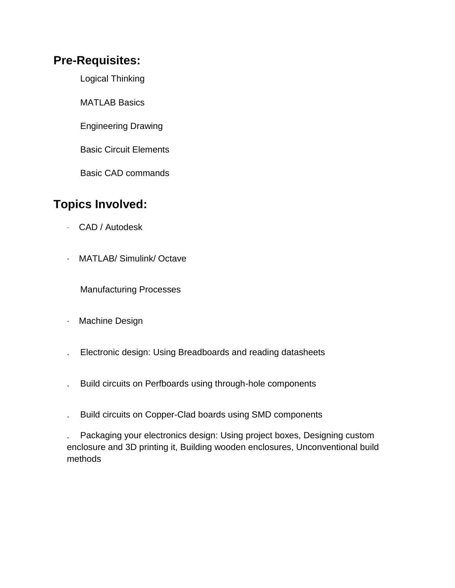## **Pre-Requisites:**

Logical Thinking

MATLAB Basics

Engineering Drawing

Basic Circuit Elements

Basic CAD commands

# **Topics Involved:**

- · CAD / Autodesk
- · MATLAB/ Simulink/ Octave

Manufacturing Processes

- · Machine Design
- . Electronic design: Using Breadboards and reading datasheets
- . Build circuits on Perfboards using through-hole components
- . Build circuits on Copper-Clad boards using SMD components

. Packaging your electronics design: Using project boxes, Designing custom enclosure and 3D printing it, Building wooden enclosures, Unconventional build methods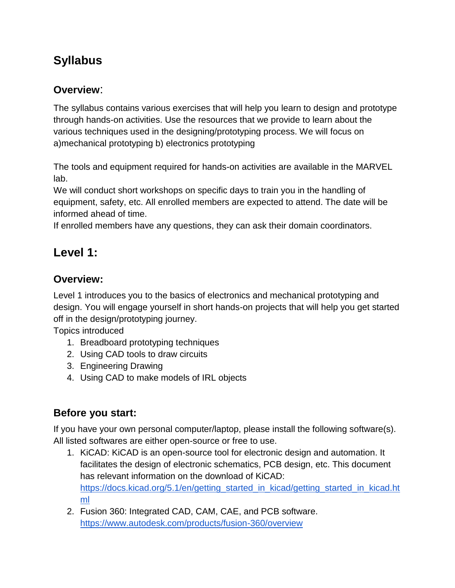# **Syllabus**

### **Overview**:

The syllabus contains various exercises that will help you learn to design and prototype through hands-on activities. Use the resources that we provide to learn about the various techniques used in the designing/prototyping process. We will focus on a)mechanical prototyping b) electronics prototyping

The tools and equipment required for hands-on activities are available in the MARVEL lab.

We will conduct short workshops on specific days to train you in the handling of equipment, safety, etc. All enrolled members are expected to attend. The date will be informed ahead of time.

If enrolled members have any questions, they can ask their domain coordinators.

# **Level 1:**

#### **Overview:**

Level 1 introduces you to the basics of electronics and mechanical prototyping and design. You will engage yourself in short hands-on projects that will help you get started off in the design/prototyping journey.

Topics introduced

- 1. Breadboard prototyping techniques
- 2. Using CAD tools to draw circuits
- 3. Engineering Drawing
- 4. Using CAD to make models of IRL objects

### **Before you start:**

If you have your own personal computer/laptop, please install the following software(s). All listed softwares are either open-source or free to use.

- 1. KiCAD: KiCAD is an open-source tool for electronic design and automation. It facilitates the design of electronic schematics, PCB design, etc. This document has relevant information on the download of KiCAD: [https://docs.kicad.org/5.1/en/getting\\_started\\_in\\_kicad/getting\\_started\\_in\\_kicad.ht](https://docs.kicad.org/5.1/en/getting_started_in_kicad/getting_started_in_kicad.html) [ml](https://docs.kicad.org/5.1/en/getting_started_in_kicad/getting_started_in_kicad.html)
- 2. Fusion 360: Integrated CAD, CAM, CAE, and PCB software. <https://www.autodesk.com/products/fusion-360/overview>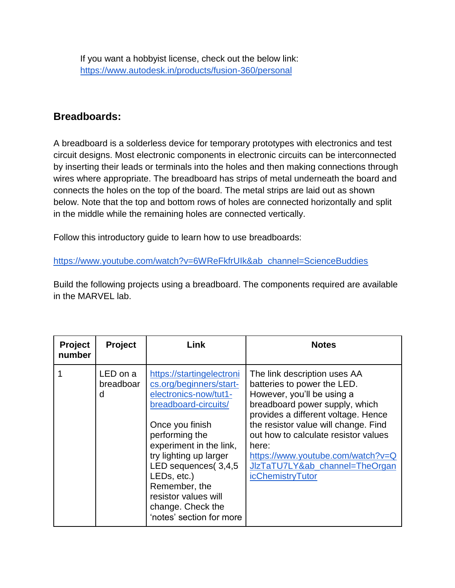If you want a hobbyist license, check out the below link: <https://www.autodesk.in/products/fusion-360/personal>

#### **Breadboards:**

A breadboard is a solderless device for temporary prototypes with electronics and test circuit designs. Most electronic components in electronic circuits can be interconnected by inserting their leads or terminals into the holes and then making connections through wires where appropriate. The breadboard has strips of metal underneath the board and connects the holes on the top of the board. The metal strips are laid out as shown below. Note that the top and bottom rows of holes are connected horizontally and split in the middle while the remaining holes are connected vertically.

Follow this introductory guide to learn how to use breadboards:

[https://www.youtube.com/watch?v=6WReFkfrUIk&ab\\_channel=ScienceBuddies](https://www.youtube.com/watch?v=6WReFkfrUIk&ab_channel=ScienceBuddies)

Build the following projects using a breadboard. The components required are available in the MARVEL lab.

| <b>Project</b><br>number | <b>Project</b>             | Link                                                                                                                                                                                                                                                                                                                            | <b>Notes</b>                                                                                                                                                                                                                                                                                                                                                  |
|--------------------------|----------------------------|---------------------------------------------------------------------------------------------------------------------------------------------------------------------------------------------------------------------------------------------------------------------------------------------------------------------------------|---------------------------------------------------------------------------------------------------------------------------------------------------------------------------------------------------------------------------------------------------------------------------------------------------------------------------------------------------------------|
|                          | LED on a<br>breadboar<br>d | https://startingelectroni<br>cs.org/beginners/start-<br>electronics-now/tut1-<br>breadboard-circuits/<br>Once you finish<br>performing the<br>experiment in the link,<br>try lighting up larger<br>LED sequences(3,4,5<br>LEDs, etc.)<br>Remember, the<br>resistor values will<br>change. Check the<br>'notes' section for more | The link description uses AA<br>batteries to power the LED.<br>However, you'll be using a<br>breadboard power supply, which<br>provides a different voltage. Hence<br>the resistor value will change. Find<br>out how to calculate resistor values<br>here:<br>https://www.youtube.com/watch?v=Q<br>JIzTaTU7LY&ab_channel=TheOrgan<br><i>icChemistryTutor</i> |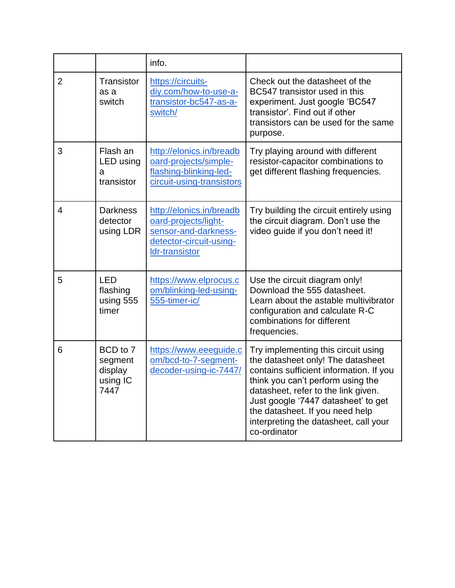|                |                                                    | info.                                                                                                                 |                                                                                                                                                                                                                                                                                                                                    |
|----------------|----------------------------------------------------|-----------------------------------------------------------------------------------------------------------------------|------------------------------------------------------------------------------------------------------------------------------------------------------------------------------------------------------------------------------------------------------------------------------------------------------------------------------------|
| $\overline{2}$ | Transistor<br>as a<br>switch                       | https://circuits-<br>div.com/how-to-use-a-<br>transistor-bc547-as-a-<br>switch/                                       | Check out the datasheet of the<br>BC547 transistor used in this<br>experiment. Just google 'BC547<br>transistor'. Find out if other<br>transistors can be used for the same<br>purpose.                                                                                                                                            |
| 3              | Flash an<br>LED using<br>a<br>transistor           | http://elonics.in/breadb<br>oard-projects/simple-<br>flashing-blinking-led-<br>circuit-using-transistors              | Try playing around with different<br>resistor-capacitor combinations to<br>get different flashing frequencies.                                                                                                                                                                                                                     |
| 4              | <b>Darkness</b><br>detector<br>using LDR           | http://elonics.in/breadb<br>oard-projects/light-<br>sensor-and-darkness-<br>detector-circuit-using-<br>Idr-transistor | Try building the circuit entirely using<br>the circuit diagram. Don't use the<br>video guide if you don't need it!                                                                                                                                                                                                                 |
| 5              | <b>LED</b><br>flashing<br>using 555<br>timer       | https://www.elprocus.c<br>om/blinking-led-using-<br>555-timer-ic/                                                     | Use the circuit diagram only!<br>Download the 555 datasheet.<br>Learn about the astable multivibrator<br>configuration and calculate R-C<br>combinations for different<br>frequencies.                                                                                                                                             |
| 6              | BCD to 7<br>segment<br>display<br>using IC<br>7447 | https://www.eeeguide.c<br>om/bcd-to-7-segment-<br>decoder-using-ic-7447/                                              | Try implementing this circuit using<br>the datasheet only! The datasheet<br>contains sufficient information. If you<br>think you can't perform using the<br>datasheet, refer to the link given.<br>Just google '7447 datasheet' to get<br>the datasheet. If you need help<br>interpreting the datasheet, call your<br>co-ordinator |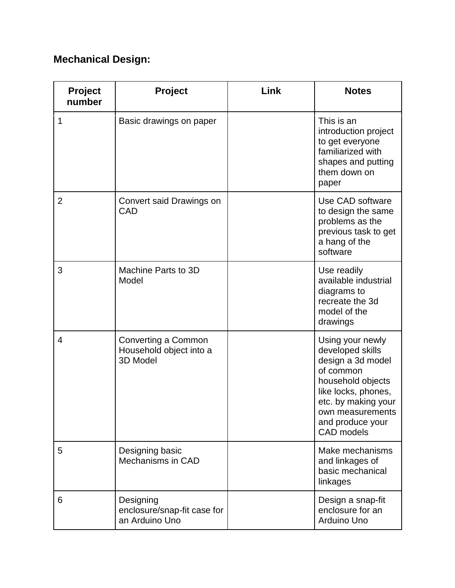# **Mechanical Design:**

| <b>Project</b><br>number | Project                                                    | Link | <b>Notes</b>                                                                                                                                                                                           |
|--------------------------|------------------------------------------------------------|------|--------------------------------------------------------------------------------------------------------------------------------------------------------------------------------------------------------|
| 1                        | Basic drawings on paper                                    |      | This is an<br>introduction project<br>to get everyone<br>familiarized with<br>shapes and putting<br>them down on<br>paper                                                                              |
| $\overline{2}$           | Convert said Drawings on<br>CAD                            |      | Use CAD software<br>to design the same<br>problems as the<br>previous task to get<br>a hang of the<br>software                                                                                         |
| 3                        | Machine Parts to 3D<br>Model                               |      | Use readily<br>available industrial<br>diagrams to<br>recreate the 3d<br>model of the<br>drawings                                                                                                      |
| $\overline{4}$           | Converting a Common<br>Household object into a<br>3D Model |      | Using your newly<br>developed skills<br>design a 3d model<br>of common<br>household objects<br>like locks, phones,<br>etc. by making your<br>own measurements<br>and produce your<br><b>CAD</b> models |
| 5                        | Designing basic<br>Mechanisms in CAD                       |      | Make mechanisms<br>and linkages of<br>basic mechanical<br>linkages                                                                                                                                     |
| 6                        | Designing<br>enclosure/snap-fit case for<br>an Arduino Uno |      | Design a snap-fit<br>enclosure for an<br>Arduino Uno                                                                                                                                                   |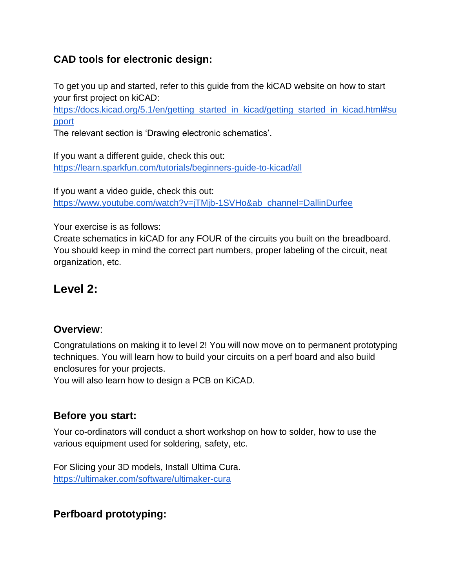### **CAD tools for electronic design:**

To get you up and started, refer to this guide from the kiCAD website on how to start your first project on kiCAD:

[https://docs.kicad.org/5.1/en/getting\\_started\\_in\\_kicad/getting\\_started\\_in\\_kicad.html#su](https://docs.kicad.org/5.1/en/getting_started_in_kicad/getting_started_in_kicad.html#support) [pport](https://docs.kicad.org/5.1/en/getting_started_in_kicad/getting_started_in_kicad.html#support)

The relevant section is 'Drawing electronic schematics'.

If you want a different guide, check this out: <https://learn.sparkfun.com/tutorials/beginners-guide-to-kicad/all>

If you want a video guide, check this out: [https://www.youtube.com/watch?v=jTMjb-1SVHo&ab\\_channel=DallinDurfee](https://www.youtube.com/watch?v=jTMjb-1SVHo&ab_channel=DallinDurfee)

Your exercise is as follows:

Create schematics in kiCAD for any FOUR of the circuits you built on the breadboard. You should keep in mind the correct part numbers, proper labeling of the circuit, neat organization, etc.

# **Level 2:**

#### **Overview**:

Congratulations on making it to level 2! You will now move on to permanent prototyping techniques. You will learn how to build your circuits on a perf board and also build enclosures for your projects.

You will also learn how to design a PCB on KiCAD.

#### **Before you start:**

Your co-ordinators will conduct a short workshop on how to solder, how to use the various equipment used for soldering, safety, etc.

For Slicing your 3D models, Install Ultima Cura. <https://ultimaker.com/software/ultimaker-cura>

### **Perfboard prototyping:**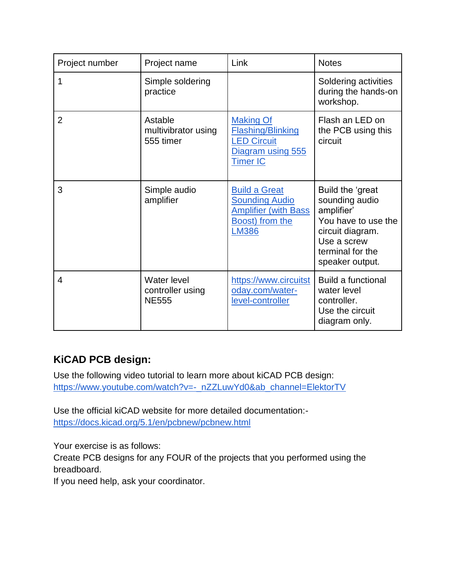| Project number | Project name                                    | Link                                                                                                            | <b>Notes</b>                                                                                                                                      |
|----------------|-------------------------------------------------|-----------------------------------------------------------------------------------------------------------------|---------------------------------------------------------------------------------------------------------------------------------------------------|
| 1              | Simple soldering<br>practice                    |                                                                                                                 | Soldering activities<br>during the hands-on<br>workshop.                                                                                          |
| $\overline{2}$ | Astable<br>multivibrator using<br>555 timer     | <b>Making Of</b><br><b>Flashing/Blinking</b><br><b>LED Circuit</b><br>Diagram using 555<br><b>Timer IC</b>      | Flash an LED on<br>the PCB using this<br>circuit                                                                                                  |
| 3              | Simple audio<br>amplifier                       | <b>Build a Great</b><br><b>Sounding Audio</b><br><b>Amplifier (with Bass</b><br>Boost) from the<br><b>LM386</b> | Build the 'great<br>sounding audio<br>amplifier'<br>You have to use the<br>circuit diagram.<br>Use a screw<br>terminal for the<br>speaker output. |
| 4              | Water level<br>controller using<br><b>NE555</b> | https://www.circuitst<br>oday.com/water-<br>level-controller                                                    | <b>Build a functional</b><br>water level<br>controller.<br>Use the circuit<br>diagram only.                                                       |

## **KiCAD PCB design:**

Use the following video tutorial to learn more about kiCAD PCB design: [https://www.youtube.com/watch?v=-\\_nZZLuwYd0&ab\\_channel=ElektorTV](https://www.youtube.com/watch?v=-_nZZLuwYd0&ab_channel=ElektorTV)

Use the official kiCAD website for more detailed documentation: <https://docs.kicad.org/5.1/en/pcbnew/pcbnew.html>

Your exercise is as follows:

Create PCB designs for any FOUR of the projects that you performed using the breadboard.

If you need help, ask your coordinator.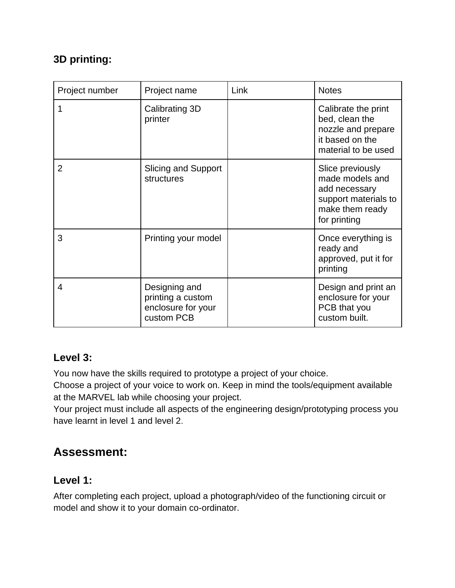### **3D printing:**

| Project number | Project name                                                           | Link | <b>Notes</b>                                                                                                    |
|----------------|------------------------------------------------------------------------|------|-----------------------------------------------------------------------------------------------------------------|
|                | Calibrating 3D<br>printer                                              |      | Calibrate the print<br>bed, clean the<br>nozzle and prepare<br>it based on the<br>material to be used           |
| $\overline{2}$ | <b>Slicing and Support</b><br>structures                               |      | Slice previously<br>made models and<br>add necessary<br>support materials to<br>make them ready<br>for printing |
| 3              | Printing your model                                                    |      | Once everything is<br>ready and<br>approved, put it for<br>printing                                             |
| 4              | Designing and<br>printing a custom<br>enclosure for your<br>custom PCB |      | Design and print an<br>enclosure for your<br>PCB that you<br>custom built.                                      |

### **Level 3:**

You now have the skills required to prototype a project of your choice.

Choose a project of your voice to work on. Keep in mind the tools/equipment available at the MARVEL lab while choosing your project.

Your project must include all aspects of the engineering design/prototyping process you have learnt in level 1 and level 2.

# **Assessment:**

#### **Level 1:**

After completing each project, upload a photograph/video of the functioning circuit or model and show it to your domain co-ordinator.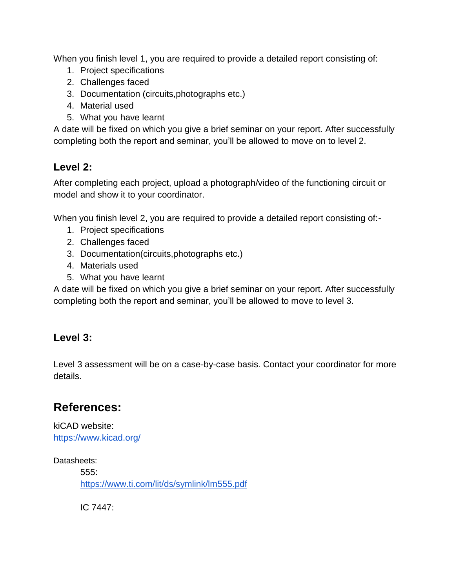When you finish level 1, you are required to provide a detailed report consisting of:

- 1. Project specifications
- 2. Challenges faced
- 3. Documentation (circuits,photographs etc.)
- 4. Material used
- 5. What you have learnt

A date will be fixed on which you give a brief seminar on your report. After successfully completing both the report and seminar, you'll be allowed to move on to level 2.

#### **Level 2:**

After completing each project, upload a photograph/video of the functioning circuit or model and show it to your coordinator.

When you finish level 2, you are required to provide a detailed report consisting of:-

- 1. Project specifications
- 2. Challenges faced
- 3. Documentation(circuits,photographs etc.)
- 4. Materials used
- 5. What you have learnt

A date will be fixed on which you give a brief seminar on your report. After successfully completing both the report and seminar, you'll be allowed to move to level 3.

#### **Level 3:**

Level 3 assessment will be on a case-by-case basis. Contact your coordinator for more details.

# **References:**

kiCAD website: <https://www.kicad.org/>

Datasheets:

555: <https://www.ti.com/lit/ds/symlink/lm555.pdf>

IC 7447: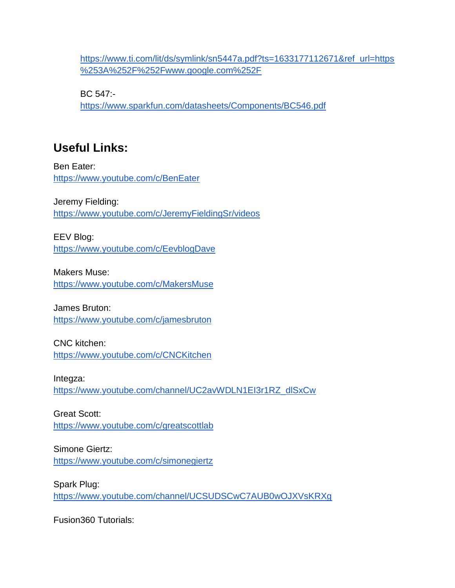[https://www.ti.com/lit/ds/symlink/sn5447a.pdf?ts=1633177112671&ref\\_url=https](https://www.ti.com/lit/ds/symlink/sn5447a.pdf?ts=1633177112671&ref_url=https%253A%252F%252Fwww.google.com%252F) [%253A%252F%252Fwww.google.com%252F](https://www.ti.com/lit/ds/symlink/sn5447a.pdf?ts=1633177112671&ref_url=https%253A%252F%252Fwww.google.com%252F)

BC 547: <https://www.sparkfun.com/datasheets/Components/BC546.pdf>

# **Useful Links:**

Ben Eater: <https://www.youtube.com/c/BenEater>

Jeremy Fielding: <https://www.youtube.com/c/JeremyFieldingSr/videos>

EEV Blog: <https://www.youtube.com/c/EevblogDave>

Makers Muse: <https://www.youtube.com/c/MakersMuse>

James Bruton: <https://www.youtube.com/c/jamesbruton>

CNC kitchen: <https://www.youtube.com/c/CNCKitchen>

Integza: [https://www.youtube.com/channel/UC2avWDLN1EI3r1RZ\\_dlSxCw](https://www.youtube.com/channel/UC2avWDLN1EI3r1RZ_dlSxCw)

Great Scott: <https://www.youtube.com/c/greatscottlab>

Simone Giertz: <https://www.youtube.com/c/simonegiertz>

Spark Plug: <https://www.youtube.com/channel/UCSUDSCwC7AUB0wOJXVsKRXg>

Fusion360 Tutorials: